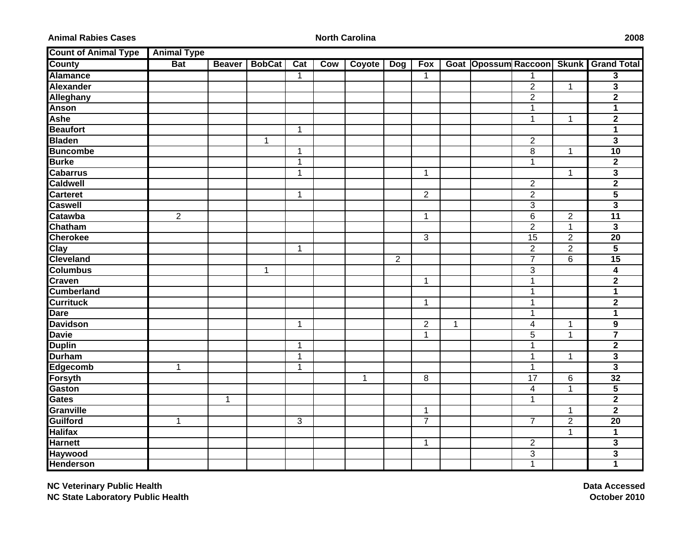**Animal Rabies Cases**

**North Carolina 2008**

| <b>Count of Animal Type</b> | <b>Animal Type</b> |              |               |              |     |               |              |                |   |                            |                           |                |                         |
|-----------------------------|--------------------|--------------|---------------|--------------|-----|---------------|--------------|----------------|---|----------------------------|---------------------------|----------------|-------------------------|
| <b>County</b>               | <b>Bat</b>         |              | Beaver BobCat | Cat          | Cow | <b>Coyote</b> | Dog          | <b>Fox</b>     |   | Goat Opossum Raccoon Skunk |                           |                | <b>Grand Total</b>      |
| <b>Alamance</b>             |                    |              |               | $\mathbf{1}$ |     |               |              | $\mathbf{1}$   |   |                            | $\mathbf{1}$              |                | $\overline{\mathbf{3}}$ |
| Alexander                   |                    |              |               |              |     |               |              |                |   |                            | $\overline{2}$            | 1              | $\overline{\mathbf{3}}$ |
| Alleghany                   |                    |              |               |              |     |               |              |                |   |                            | $\overline{c}$            |                | $\mathbf 2$             |
| <b>Anson</b>                |                    |              |               |              |     |               |              |                |   |                            | $\mathbf 1$               |                | 1                       |
| <b>Ashe</b>                 |                    |              |               |              |     |               |              |                |   |                            | 1                         | 1              | $\mathbf 2$             |
| <b>Beaufort</b>             |                    |              |               | $\mathbf 1$  |     |               |              |                |   |                            |                           |                | 1                       |
| <b>Bladen</b>               |                    |              | 1             |              |     |               |              |                |   |                            | $\boldsymbol{2}$          |                | $\overline{\mathbf{3}}$ |
| <b>Buncombe</b>             |                    |              |               | $\mathbf 1$  |     |               |              |                |   |                            | 8                         | 1              | 10                      |
| <b>Burke</b>                |                    |              |               | $\mathbf{1}$ |     |               |              |                |   |                            | $\mathbf{1}$              |                | $\overline{2}$          |
| <b>Cabarrus</b>             |                    |              |               | $\mathbf 1$  |     |               |              | 1              |   |                            |                           | $\mathbf 1$    | 3                       |
| <b>Caldwell</b>             |                    |              |               |              |     |               |              |                |   |                            | $\overline{c}$            |                | $\overline{\mathbf{2}}$ |
| <b>Carteret</b>             |                    |              |               | $\mathbf 1$  |     |               |              | $\overline{2}$ |   |                            | $\overline{2}$            |                | $\overline{\mathbf{5}}$ |
| <b>Caswell</b>              |                    |              |               |              |     |               |              |                |   |                            | $\sqrt{3}$                |                | 3                       |
| Catawba                     | $\overline{2}$     |              |               |              |     |               |              | 1              |   |                            | 6                         | $\mathbf{2}$   | $\overline{11}$         |
| Chatham                     |                    |              |               |              |     |               |              |                |   |                            | $\overline{2}$            | 1              | 3                       |
| <b>Cherokee</b>             |                    |              |               |              |     |               |              | 3              |   |                            | $\overline{15}$           | $\overline{2}$ | $\overline{20}$         |
| Clay                        |                    |              |               | $\mathbf{1}$ |     |               |              |                |   |                            | $\overline{c}$            | $\overline{2}$ | 5                       |
| <b>Cleveland</b>            |                    |              |               |              |     |               | $\mathbf{2}$ |                |   |                            | $\overline{7}$            | 6              | 15                      |
| <b>Columbus</b>             |                    |              | 1             |              |     |               |              |                |   |                            | $\sqrt{3}$                |                | 4                       |
| <b>Craven</b>               |                    |              |               |              |     |               |              | 1              |   |                            | $\mathbf{1}$              |                | $\overline{2}$          |
| <b>Cumberland</b>           |                    |              |               |              |     |               |              |                |   |                            | $\mathbf{1}$              |                | 1                       |
| <b>Currituck</b>            |                    |              |               |              |     |               |              | 1              |   |                            | $\mathbf{1}$              |                | $\overline{\mathbf{2}}$ |
| <b>Dare</b>                 |                    |              |               |              |     |               |              |                |   |                            | $\mathbf{1}$              |                | 1                       |
| <b>Davidson</b>             |                    |              |               | $\mathbf 1$  |     |               |              | $\overline{2}$ | 1 |                            | 4                         | $\mathbf 1$    | 9                       |
| <b>Davie</b>                |                    |              |               |              |     |               |              | $\mathbf 1$    |   |                            | $\overline{5}$            | $\mathbf{1}$   | $\overline{\mathbf{7}}$ |
| <b>Duplin</b>               |                    |              |               | $\mathbf{1}$ |     |               |              |                |   |                            | $\mathbf{1}$              |                | $\overline{\mathbf{2}}$ |
| <b>Durham</b>               |                    |              |               | $\mathbf{1}$ |     |               |              |                |   |                            | $\mathbf 1$               | $\mathbf 1$    | $\overline{\mathbf{3}}$ |
| Edgecomb                    | $\mathbf{1}$       |              |               | $\mathbf{1}$ |     |               |              |                |   |                            | $\mathbf{1}$              |                | $\overline{\mathbf{3}}$ |
| Forsyth                     |                    |              |               |              |     | $\mathbf{1}$  |              | 8              |   |                            | 17                        | 6              | 32                      |
| Gaston                      |                    |              |               |              |     |               |              |                |   |                            | 4                         | $\mathbf 1$    | 5                       |
| <b>Gates</b>                |                    | $\mathbf{1}$ |               |              |     |               |              |                |   |                            | $\mathbf{1}$              |                | $\overline{\mathbf{2}}$ |
| Granville                   |                    |              |               |              |     |               |              | 1              |   |                            |                           | 1              | $\mathbf 2$             |
| Guilford                    | $\mathbf{1}$       |              |               | 3            |     |               |              | $\overline{7}$ |   |                            | $\overline{7}$            | $\overline{c}$ | 20                      |
| <b>Halifax</b>              |                    |              |               |              |     |               |              |                |   |                            |                           | $\mathbf 1$    | $\mathbf{1}$            |
| <b>Harnett</b>              |                    |              |               |              |     |               |              | 1              |   |                            | $\overline{2}$            |                | $\overline{\mathbf{3}}$ |
| Haywood                     |                    |              |               |              |     |               |              |                |   |                            | $\ensuremath{\mathsf{3}}$ |                | $\overline{\mathbf{3}}$ |
| <b>Henderson</b>            |                    |              |               |              |     |               |              |                |   |                            | $\mathbf{1}$              |                | 1                       |

**Data Accessed October 2010**